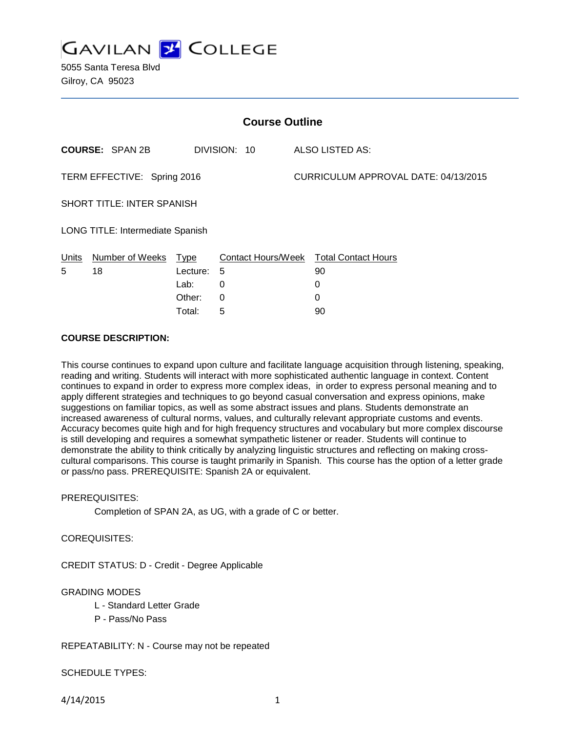

5055 Santa Teresa Blvd Gilroy, CA 95023

| <b>Course Outline</b>                                               |                        |             |                    |  |                            |
|---------------------------------------------------------------------|------------------------|-------------|--------------------|--|----------------------------|
|                                                                     | <b>COURSE: SPAN 2B</b> |             | DIVISION: 10       |  | ALSO LISTED AS:            |
| CURRICULUM APPROVAL DATE: 04/13/2015<br>TERM EFFECTIVE: Spring 2016 |                        |             |                    |  |                            |
| <b>SHORT TITLE: INTER SPANISH</b>                                   |                        |             |                    |  |                            |
| LONG TITLE: Intermediate Spanish                                    |                        |             |                    |  |                            |
| Units                                                               | Number of Weeks        | <u>Type</u> | Contact Hours/Week |  | <b>Total Contact Hours</b> |
| 5                                                                   | 18                     | Lecture:    | -5                 |  | 90                         |
|                                                                     |                        | Lab:        | 0                  |  | 0                          |
|                                                                     |                        | Other:      | 0                  |  | 0                          |
|                                                                     |                        | Total:      | 5                  |  | 90                         |

### **COURSE DESCRIPTION:**

This course continues to expand upon culture and facilitate language acquisition through listening, speaking, reading and writing. Students will interact with more sophisticated authentic language in context. Content continues to expand in order to express more complex ideas, in order to express personal meaning and to apply different strategies and techniques to go beyond casual conversation and express opinions, make suggestions on familiar topics, as well as some abstract issues and plans. Students demonstrate an increased awareness of cultural norms, values, and culturally relevant appropriate customs and events. Accuracy becomes quite high and for high frequency structures and vocabulary but more complex discourse is still developing and requires a somewhat sympathetic listener or reader. Students will continue to demonstrate the ability to think critically by analyzing linguistic structures and reflecting on making crosscultural comparisons. This course is taught primarily in Spanish. This course has the option of a letter grade or pass/no pass. PREREQUISITE: Spanish 2A or equivalent.

### PREREQUISITES:

Completion of SPAN 2A, as UG, with a grade of C or better.

### COREQUISITES:

CREDIT STATUS: D - Credit - Degree Applicable

### GRADING MODES

- L Standard Letter Grade
- P Pass/No Pass

### REPEATABILITY: N - Course may not be repeated

### SCHEDULE TYPES:

4/14/2015 1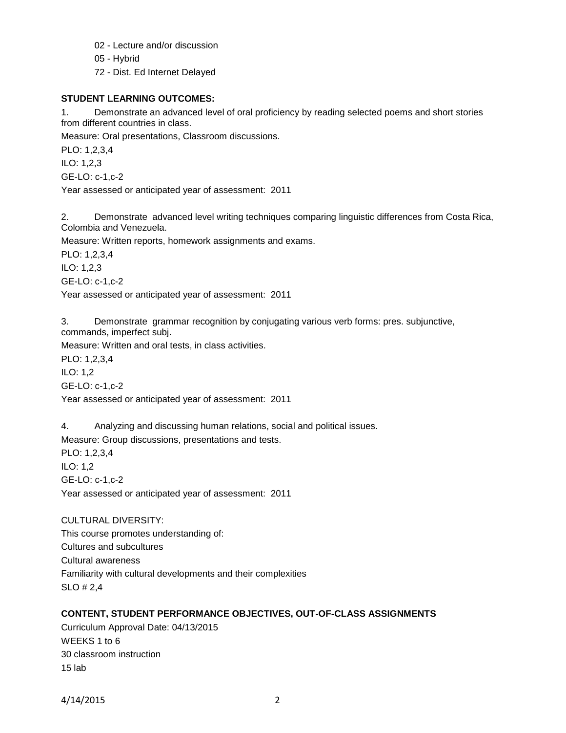- 02 Lecture and/or discussion
- 05 Hybrid
- 72 Dist. Ed Internet Delayed

## **STUDENT LEARNING OUTCOMES:**

1. Demonstrate an advanced level of oral proficiency by reading selected poems and short stories from different countries in class.

Measure: Oral presentations, Classroom discussions.

PLO: 1,2,3,4 ILO: 1,2,3 GE-LO: c-1,c-2

Year assessed or anticipated year of assessment: 2011

2. Demonstrate advanced level writing techniques comparing linguistic differences from Costa Rica, Colombia and Venezuela.

Measure: Written reports, homework assignments and exams.

PLO: 1,2,3,4

ILO: 1,2,3

GE-LO: c-1,c-2

Year assessed or anticipated year of assessment: 2011

3. Demonstrate grammar recognition by conjugating various verb forms: pres. subjunctive, commands, imperfect subj.

Measure: Written and oral tests, in class activities.

PLO: 1,2,3,4 ILO: 1,2 GE-LO: c-1,c-2

Year assessed or anticipated year of assessment: 2011

4. Analyzing and discussing human relations, social and political issues.

Measure: Group discussions, presentations and tests.

PLO: 1,2,3,4 ILO: 1,2 GE-LO: c-1,c-2 Year assessed or anticipated year of assessment: 2011

CULTURAL DIVERSITY: This course promotes understanding of: Cultures and subcultures Cultural awareness Familiarity with cultural developments and their complexities SLO # 2,4

# **CONTENT, STUDENT PERFORMANCE OBJECTIVES, OUT-OF-CLASS ASSIGNMENTS**

Curriculum Approval Date: 04/13/2015 WEEKS 1 to 6 30 classroom instruction 15 lab

4/14/2015 2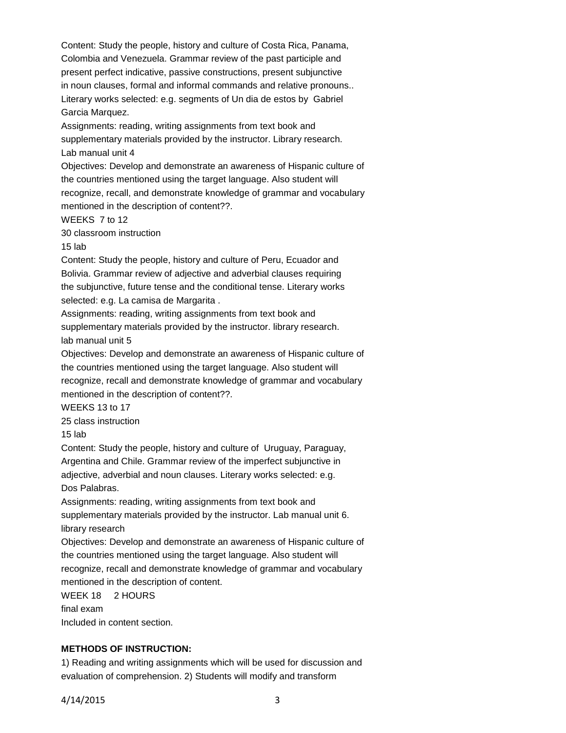Content: Study the people, history and culture of Costa Rica, Panama, Colombia and Venezuela. Grammar review of the past participle and present perfect indicative, passive constructions, present subjunctive in noun clauses, formal and informal commands and relative pronouns.. Literary works selected: e.g. segments of Un dia de estos by Gabriel Garcia Marquez.

Assignments: reading, writing assignments from text book and supplementary materials provided by the instructor. Library research. Lab manual unit 4

Objectives: Develop and demonstrate an awareness of Hispanic culture of the countries mentioned using the target language. Also student will recognize, recall, and demonstrate knowledge of grammar and vocabulary mentioned in the description of content??.

WEEKS 7 to 12

30 classroom instruction

15 lab

Content: Study the people, history and culture of Peru, Ecuador and Bolivia. Grammar review of adjective and adverbial clauses requiring the subjunctive, future tense and the conditional tense. Literary works selected: e.g. La camisa de Margarita .

Assignments: reading, writing assignments from text book and supplementary materials provided by the instructor. library research. lab manual unit 5

Objectives: Develop and demonstrate an awareness of Hispanic culture of the countries mentioned using the target language. Also student will recognize, recall and demonstrate knowledge of grammar and vocabulary mentioned in the description of content??.

WEEKS 13 to 17

25 class instruction

15 lab

Content: Study the people, history and culture of Uruguay, Paraguay, Argentina and Chile. Grammar review of the imperfect subjunctive in adjective, adverbial and noun clauses. Literary works selected: e.g. Dos Palabras.

Assignments: reading, writing assignments from text book and supplementary materials provided by the instructor. Lab manual unit 6. library research

Objectives: Develop and demonstrate an awareness of Hispanic culture of the countries mentioned using the target language. Also student will recognize, recall and demonstrate knowledge of grammar and vocabulary mentioned in the description of content.

WEEK 18 2 HOURS final exam Included in content section.

### **METHODS OF INSTRUCTION:**

1) Reading and writing assignments which will be used for discussion and evaluation of comprehension. 2) Students will modify and transform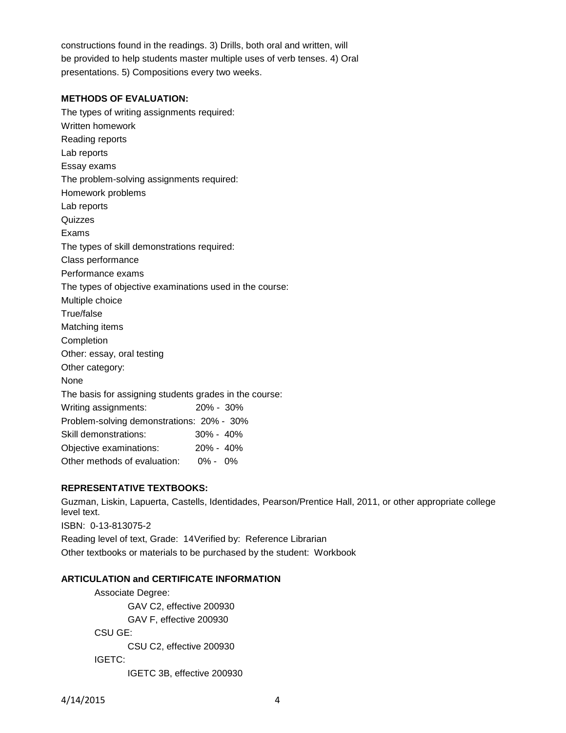constructions found in the readings. 3) Drills, both oral and written, will be provided to help students master multiple uses of verb tenses. 4) Oral presentations. 5) Compositions every two weeks.

## **METHODS OF EVALUATION:**

The types of writing assignments required: Written homework Reading reports Lab reports Essay exams The problem-solving assignments required: Homework problems Lab reports Quizzes Exams The types of skill demonstrations required: Class performance Performance exams The types of objective examinations used in the course: Multiple choice True/false Matching items Completion Other: essay, oral testing Other category: None The basis for assigning students grades in the course: Writing assignments: 20% - 30% Problem-solving demonstrations: 20% - 30% Skill demonstrations: 30% - 40% Objective examinations: 20% - 40% Other methods of evaluation: 0% - 0%

## **REPRESENTATIVE TEXTBOOKS:**

Guzman, Liskin, Lapuerta, Castells, Identidades, Pearson/Prentice Hall, 2011, or other appropriate college level text. ISBN: 0-13-813075-2 Reading level of text, Grade: 14Verified by: Reference Librarian Other textbooks or materials to be purchased by the student: Workbook

### **ARTICULATION and CERTIFICATE INFORMATION**

Associate Degree: GAV C2, effective 200930 GAV F, effective 200930 CSU GE: CSU C2, effective 200930 IGETC: IGETC 3B, effective 200930